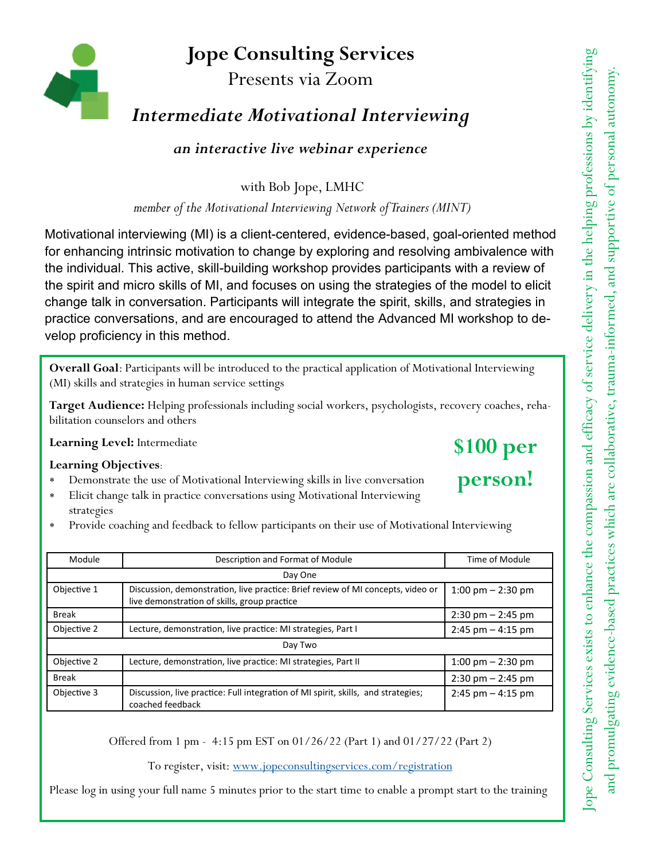## Jope Consulting Services

Presents via Zoom

## Intermediate Motivational Interviewing

an interactive live webinar experience

with Bob Jope, LMHC

member of the Motivational Interviewing Network of Trainers (MINT)

Motivational interviewing (MI) is a client-centered, evidence-based, goal-oriented method for enhancing intrinsic motivation to change by exploring and resolving ambivalence with the individual. This active, skill-building workshop provides participants with a review of the spirit and micro skills of MI, and focuses on using the strategies of the model to elicit change talk in conversation. Participants will integrate the spirit, skills, and strategies in practice conversations, and are encouraged to attend the Advanced MI workshop to develop proficiency in this method.

Overall Goal: Participants will be introduced to the practical application of Motivational Interviewing (MI) skills and strategies in human service settings

Target Audience: Helping professionals including social workers, psychologists, recovery coaches, rehabilitation counselors and others

Learning Level: Intermediate

### Learning Objectives:

- \* Demonstrate the use of Motivational Interviewing skills in live conversation
- \* Elicit change talk in practice conversations using Motivational Interviewing strategies
- \* Provide coaching and feedback to fellow participants on their use of Motivational Interviewing

| Module       | Description and Format of Module                                                                                                | Time of Module                      |
|--------------|---------------------------------------------------------------------------------------------------------------------------------|-------------------------------------|
| Day One      |                                                                                                                                 |                                     |
| Objective 1  | Discussion, demonstration, live practice: Brief review of MI concepts, video or<br>live demonstration of skills, group practice | 1:00 pm $-$ 2:30 pm                 |
| <b>Break</b> |                                                                                                                                 | $2:30 \text{ pm} - 2:45 \text{ pm}$ |
| Objective 2  | Lecture, demonstration, live practice: MI strategies, Part I                                                                    | $2:45$ pm $-4:15$ pm                |
| Day Two      |                                                                                                                                 |                                     |
| Objective 2  | Lecture, demonstration, live practice: MI strategies, Part II                                                                   | 1:00 pm $-$ 2:30 pm                 |
| <b>Break</b> |                                                                                                                                 | $2:30 \text{ pm} - 2:45 \text{ pm}$ |
| Objective 3  | Discussion, live practice: Full integration of MI spirit, skills, and strategies;<br>coached feedback                           | $2:45$ pm $-4:15$ pm                |

Offered from 1 pm - 4:15 pm EST on 01/26/22 (Part 1) and 01/27/22 (Part 2)

To register, visit: www.jopeconsultingservices.com/registration

Please log in using your full name 5 minutes prior to the start time to enable a prompt start to the training

# \$100 per person!